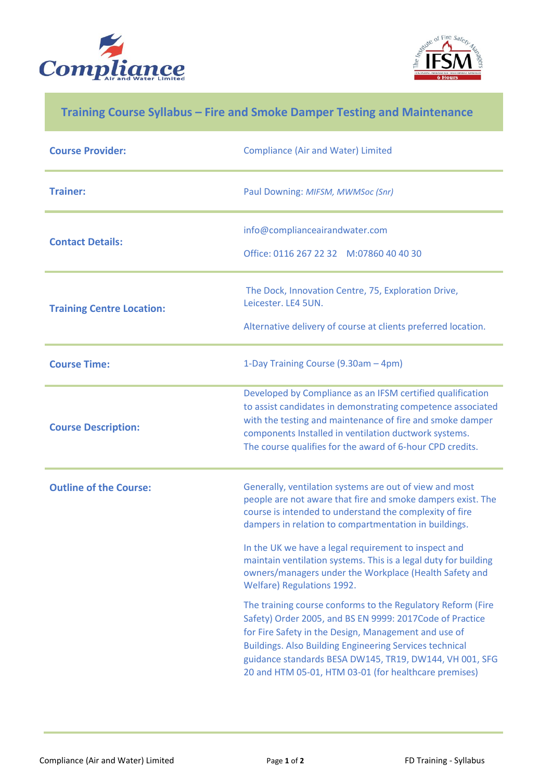



## **Training Course Syllabus – Fire and Smoke Damper Testing and Maintenance**

| <b>Course Provider:</b>          | <b>Compliance (Air and Water) Limited</b>                                                                                                                                                                                                                                                                                                                                                                                       |
|----------------------------------|---------------------------------------------------------------------------------------------------------------------------------------------------------------------------------------------------------------------------------------------------------------------------------------------------------------------------------------------------------------------------------------------------------------------------------|
| <b>Trainer:</b>                  | Paul Downing: MIFSM, MWMSoc (Snr)                                                                                                                                                                                                                                                                                                                                                                                               |
| <b>Contact Details:</b>          | info@complianceairandwater.com<br>Office: 0116 267 22 32 M:07860 40 40 30                                                                                                                                                                                                                                                                                                                                                       |
| <b>Training Centre Location:</b> | The Dock, Innovation Centre, 75, Exploration Drive,<br>Leicester. LE4 5UN.<br>Alternative delivery of course at clients preferred location.                                                                                                                                                                                                                                                                                     |
| <b>Course Time:</b>              | 1-Day Training Course (9.30am - 4pm)                                                                                                                                                                                                                                                                                                                                                                                            |
| <b>Course Description:</b>       | Developed by Compliance as an IFSM certified qualification<br>to assist candidates in demonstrating competence associated<br>with the testing and maintenance of fire and smoke damper<br>components Installed in ventilation ductwork systems.<br>The course qualifies for the award of 6-hour CPD credits.                                                                                                                    |
| <b>Outline of the Course:</b>    | Generally, ventilation systems are out of view and most<br>people are not aware that fire and smoke dampers exist. The<br>course is intended to understand the complexity of fire<br>dampers in relation to compartmentation in buildings.<br>In the UK we have a legal requirement to inspect and<br>maintain ventilation systems. This is a legal duty for building<br>owners/managers under the Workplace (Health Safety and |
|                                  | Welfare) Regulations 1992.<br>The training course conforms to the Regulatory Reform (Fire<br>Safety) Order 2005, and BS EN 9999: 2017Code of Practice<br>for Fire Safety in the Design, Management and use of<br><b>Buildings. Also Building Engineering Services technical</b><br>guidance standards BESA DW145, TR19, DW144, VH 001, SFG<br>20 and HTM 05-01, HTM 03-01 (for healthcare premises)                             |